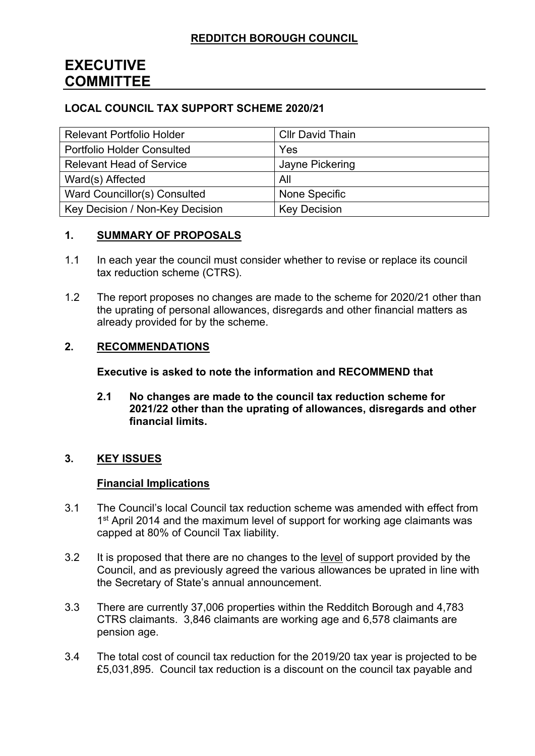# **EXECUTIVE COMMITTEE**

## **LOCAL COUNCIL TAX SUPPORT SCHEME 2020/21**

| <b>Relevant Portfolio Holder</b>  | <b>Cllr David Thain</b> |
|-----------------------------------|-------------------------|
| <b>Portfolio Holder Consulted</b> | Yes                     |
| <b>Relevant Head of Service</b>   | Jayne Pickering         |
| Ward(s) Affected                  | All                     |
| Ward Councillor(s) Consulted      | None Specific           |
| Key Decision / Non-Key Decision   | <b>Key Decision</b>     |

### **1. SUMMARY OF PROPOSALS**

- 1.1 In each year the council must consider whether to revise or replace its council tax reduction scheme (CTRS).
- 1.2 The report proposes no changes are made to the scheme for 2020/21 other than the uprating of personal allowances, disregards and other financial matters as already provided for by the scheme.

### **2. RECOMMENDATIONS**

**Executive is asked to note the information and RECOMMEND that**

**2.1 No changes are made to the council tax reduction scheme for 2021/22 other than the uprating of allowances, disregards and other financial limits.**

## **3. KEY ISSUES**

### **Financial Implications**

- 3.1 The Council's local Council tax reduction scheme was amended with effect from 1<sup>st</sup> April 2014 and the maximum level of support for working age claimants was capped at 80% of Council Tax liability.
- 3.2 It is proposed that there are no changes to the level of support provided by the Council, and as previously agreed the various allowances be uprated in line with the Secretary of State's annual announcement.
- 3.3 There are currently 37,006 properties within the Redditch Borough and 4,783 CTRS claimants. 3,846 claimants are working age and 6,578 claimants are pension age.
- 3.4 The total cost of council tax reduction for the 2019/20 tax year is projected to be £5,031,895. Council tax reduction is a discount on the council tax payable and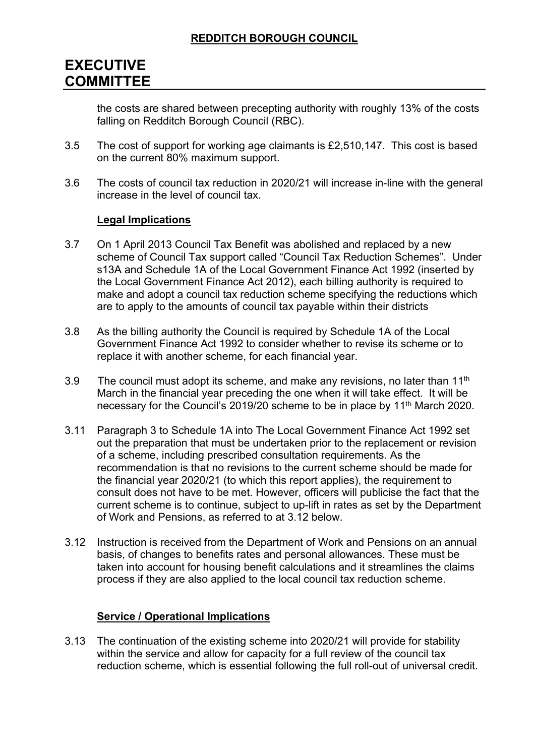# **EXECUTIVE COMMITTEE**

the costs are shared between precepting authority with roughly 13% of the costs falling on Redditch Borough Council (RBC).

- 3.5 The cost of support for working age claimants is £2,510,147. This cost is based on the current 80% maximum support.
- 3.6 The costs of council tax reduction in 2020/21 will increase in-line with the general increase in the level of council tax.

### **Legal Implications**

- 3.7 On 1 April 2013 Council Tax Benefit was abolished and replaced by a new scheme of Council Tax support called "Council Tax Reduction Schemes". Under s13A and Schedule 1A of the Local Government Finance Act 1992 (inserted by the Local Government Finance Act 2012), each billing authority is required to make and adopt a council tax reduction scheme specifying the reductions which are to apply to the amounts of council tax payable within their districts
- 3.8 As the billing authority the Council is required by Schedule 1A of the Local Government Finance Act 1992 to consider whether to revise its scheme or to replace it with another scheme, for each financial year.
- 3.9 The council must adopt its scheme, and make any revisions, no later than  $11<sup>th</sup>$ March in the financial year preceding the one when it will take effect. It will be necessary for the Council's 2019/20 scheme to be in place by 11<sup>th</sup> March 2020.
- 3.11 Paragraph 3 to Schedule 1A into The Local Government Finance Act 1992 set out the preparation that must be undertaken prior to the replacement or revision of a scheme, including prescribed consultation requirements. As the recommendation is that no revisions to the current scheme should be made for the financial year 2020/21 (to which this report applies), the requirement to consult does not have to be met. However, officers will publicise the fact that the current scheme is to continue, subject to up-lift in rates as set by the Department of Work and Pensions, as referred to at 3.12 below.
- 3.12 Instruction is received from the Department of Work and Pensions on an annual basis, of changes to benefits rates and personal allowances. These must be taken into account for housing benefit calculations and it streamlines the claims process if they are also applied to the local council tax reduction scheme.

## **Service / Operational Implications**

3.13 The continuation of the existing scheme into 2020/21 will provide for stability within the service and allow for capacity for a full review of the council tax reduction scheme, which is essential following the full roll-out of universal credit.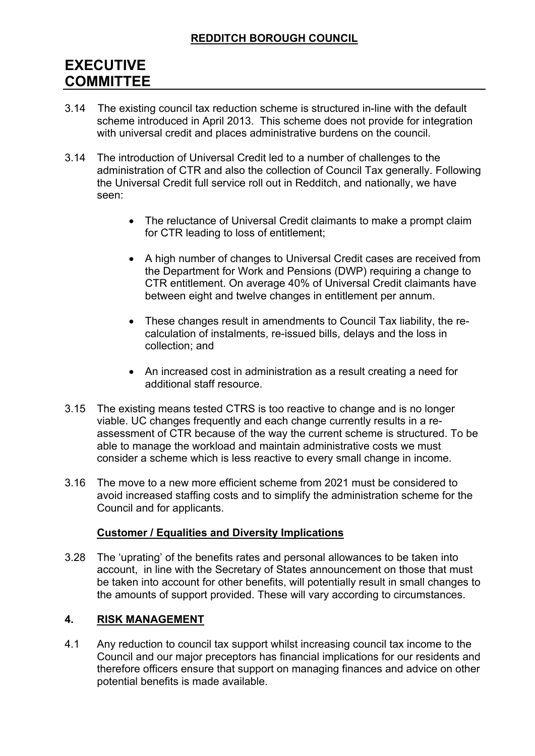# **REDDITCH BOROUGH COUNCIL**

# **EXECUTIVE COMMITTEE**

- 3.14 The existing council tax reduction scheme is structured in-line with the default scheme introduced in April 2013. This scheme does not provide for integration with universal credit and places administrative burdens on the council.
- 3.14 The introduction of Universal Credit led to a number of challenges to the administration of CTR and also the collection of Council Tax generally. Following the Universal Credit full service roll out in Redditch, and nationally, we have seen:
	- The reluctance of Universal Credit claimants to make a prompt claim for CTR leading to loss of entitlement;
	- A high number of changes to Universal Credit cases are received from the Department for Work and Pensions (DWP) requiring a change to CTR entitlement. On average 40% of Universal Credit claimants have between eight and twelve changes in entitlement per annum.
	- These changes result in amendments to Council Tax liability, the recalculation of instalments, re-issued bills, delays and the loss in collection; and
	- An increased cost in administration as a result creating a need for additional staff resource.
- 3.15 The existing means tested CTRS is too reactive to change and is no longer viable. UC changes frequently and each change currently results in a reassessment of CTR because of the way the current scheme is structured. To be able to manage the workload and maintain administrative costs we must consider a scheme which is less reactive to every small change in income.
- 3.16 The move to a new more efficient scheme from 2021 must be considered to avoid increased staffing costs and to simplify the administration scheme for the Council and for applicants.

### **Customer / Equalities and Diversity Implications**

3.28 The 'uprating' of the benefits rates and personal allowances to be taken into account, in line with the Secretary of States announcement on those that must be taken into account for other benefits, will potentially result in small changes to the amounts of support provided. These will vary according to circumstances.

### **4. RISK MANAGEMENT**

4.1 Any reduction to council tax support whilst increasing council tax income to the Council and our major preceptors has financial implications for our residents and therefore officers ensure that support on managing finances and advice on other potential benefits is made available.